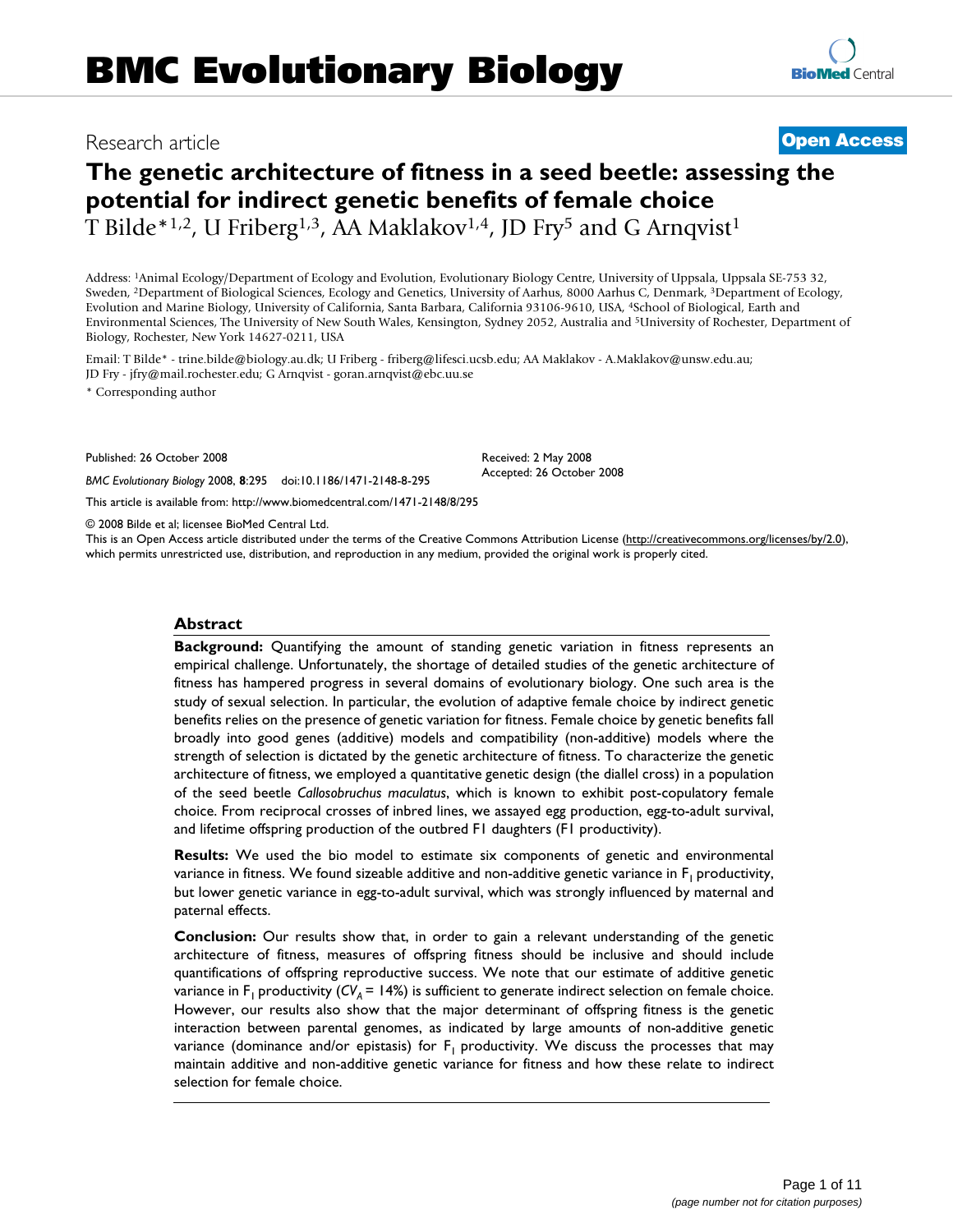# Research article **[Open Access](http://www.biomedcentral.com/info/about/charter/)**

# **The genetic architecture of fitness in a seed beetle: assessing the potential for indirect genetic benefits of female choice** T Bilde<sup>\*1,2</sup>, U Friberg<sup>1,3</sup>, AA Maklakov<sup>1,4</sup>, JD Fry<sup>5</sup> and G Arnqvist<sup>1</sup>

Address: 1Animal Ecology/Department of Ecology and Evolution, Evolutionary Biology Centre, University of Uppsala, Uppsala SE-753 32, Sweden, 2Department of Biological Sciences, Ecology and Genetics, University of Aarhus, 8000 Aarhus C, Denmark, 3Department of Ecology, Evolution and Marine Biology, University of California, Santa Barbara, California 93106-9610, USA, 4School of Biological, Earth and Environmental Sciences, The University of New South Wales, Kensington, Sydney 2052, Australia and 5University of Rochester, Department of

Biology, Rochester, New York 14627-0211, USA

Email: T Bilde\* - trine.bilde@biology.au.dk; U Friberg - friberg@lifesci.ucsb.edu; AA Maklakov - A.Maklakov@unsw.edu.au; JD Fry - jfry@mail.rochester.edu; G Arnqvist - goran.arnqvist@ebc.uu.se

\* Corresponding author

Published: 26 October 2008

*BMC Evolutionary Biology* 2008, **8**:295 doi:10.1186/1471-2148-8-295

[This article is available from: http://www.biomedcentral.com/1471-2148/8/295](http://www.biomedcentral.com/1471-2148/8/295)

© 2008 Bilde et al; licensee BioMed Central Ltd.

This is an Open Access article distributed under the terms of the Creative Commons Attribution License [\(http://creativecommons.org/licenses/by/2.0\)](http://creativecommons.org/licenses/by/2.0), which permits unrestricted use, distribution, and reproduction in any medium, provided the original work is properly cited.

Received: 2 May 2008 Accepted: 26 October 2008

#### **Abstract**

**Background:** Quantifying the amount of standing genetic variation in fitness represents an empirical challenge. Unfortunately, the shortage of detailed studies of the genetic architecture of fitness has hampered progress in several domains of evolutionary biology. One such area is the study of sexual selection. In particular, the evolution of adaptive female choice by indirect genetic benefits relies on the presence of genetic variation for fitness. Female choice by genetic benefits fall broadly into good genes (additive) models and compatibility (non-additive) models where the strength of selection is dictated by the genetic architecture of fitness. To characterize the genetic architecture of fitness, we employed a quantitative genetic design (the diallel cross) in a population of the seed beetle *Callosobruchus maculatus*, which is known to exhibit post-copulatory female choice. From reciprocal crosses of inbred lines, we assayed egg production, egg-to-adult survival, and lifetime offspring production of the outbred F1 daughters (F1 productivity).

**Results:** We used the bio model to estimate six components of genetic and environmental variance in fitness. We found sizeable additive and non-additive genetic variance in  $F_1$  productivity, but lower genetic variance in egg-to-adult survival, which was strongly influenced by maternal and paternal effects.

**Conclusion:** Our results show that, in order to gain a relevant understanding of the genetic architecture of fitness, measures of offspring fitness should be inclusive and should include quantifications of offspring reproductive success. We note that our estimate of additive genetic variance in  $F_1$  productivity ( $CV_4 = 14\%$ ) is sufficient to generate indirect selection on female choice. However, our results also show that the major determinant of offspring fitness is the genetic interaction between parental genomes, as indicated by large amounts of non-additive genetic variance (dominance and/or epistasis) for  $F_1$  productivity. We discuss the processes that may maintain additive and non-additive genetic variance for fitness and how these relate to indirect selection for female choice.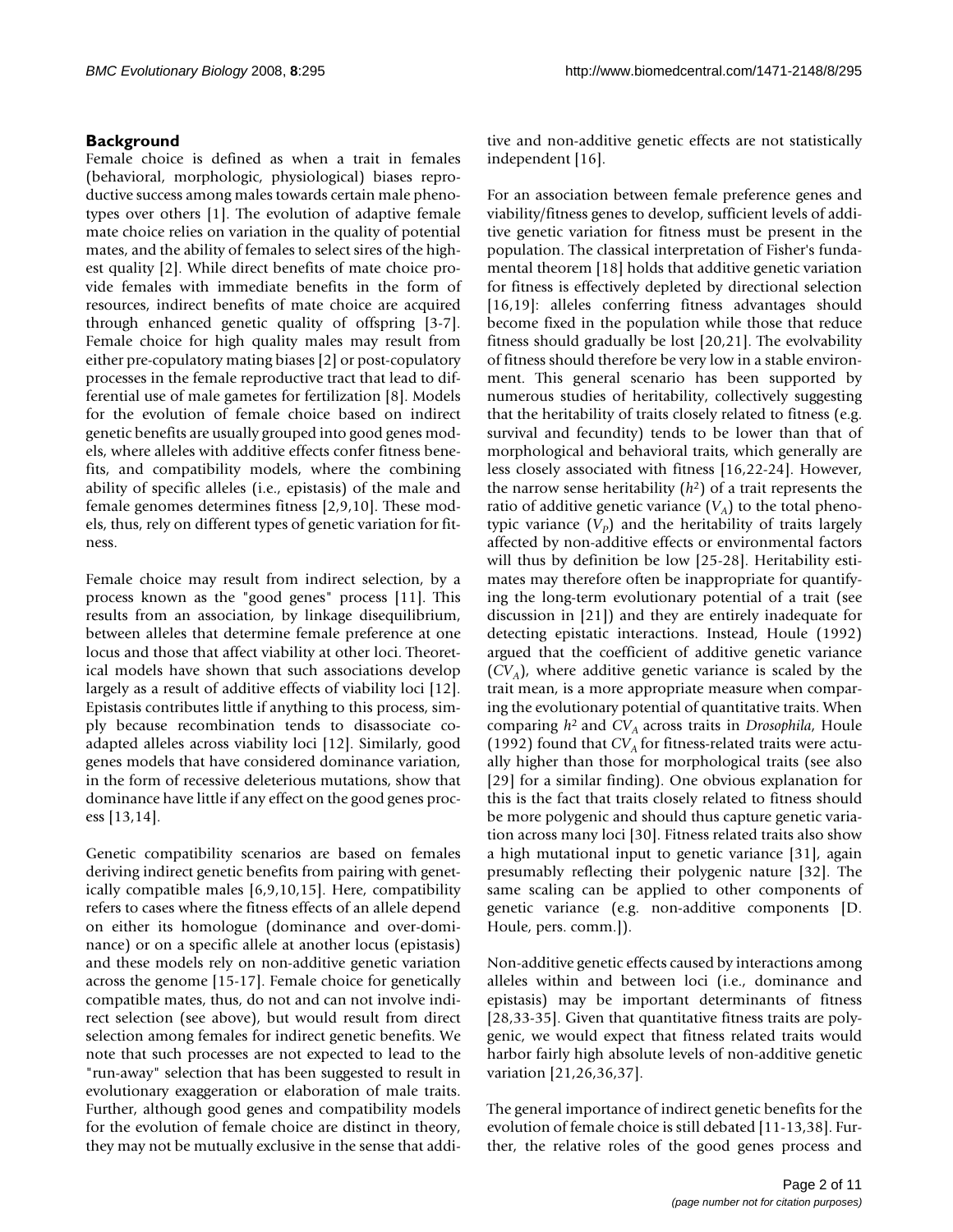# **Background**

Female choice is defined as when a trait in females (behavioral, morphologic, physiological) biases reproductive success among males towards certain male phenotypes over others [1]. The evolution of adaptive female mate choice relies on variation in the quality of potential mates, and the ability of females to select sires of the highest quality [2]. While direct benefits of mate choice provide females with immediate benefits in the form of resources, indirect benefits of mate choice are acquired through enhanced genetic quality of offspring [3-7]. Female choice for high quality males may result from either pre-copulatory mating biases [2] or post-copulatory processes in the female reproductive tract that lead to differential use of male gametes for fertilization [8]. Models for the evolution of female choice based on indirect genetic benefits are usually grouped into good genes models, where alleles with additive effects confer fitness benefits, and compatibility models, where the combining ability of specific alleles (i.e., epistasis) of the male and female genomes determines fitness [2,9,10]. These models, thus, rely on different types of genetic variation for fitness.

Female choice may result from indirect selection, by a process known as the "good genes" process [11]. This results from an association, by linkage disequilibrium, between alleles that determine female preference at one locus and those that affect viability at other loci. Theoretical models have shown that such associations develop largely as a result of additive effects of viability loci [12]. Epistasis contributes little if anything to this process, simply because recombination tends to disassociate coadapted alleles across viability loci [12]. Similarly, good genes models that have considered dominance variation, in the form of recessive deleterious mutations, show that dominance have little if any effect on the good genes process [13,14].

Genetic compatibility scenarios are based on females deriving indirect genetic benefits from pairing with genetically compatible males [6,9,10,15]. Here, compatibility refers to cases where the fitness effects of an allele depend on either its homologue (dominance and over-dominance) or on a specific allele at another locus (epistasis) and these models rely on non-additive genetic variation across the genome [15-17]. Female choice for genetically compatible mates, thus, do not and can not involve indirect selection (see above), but would result from direct selection among females for indirect genetic benefits. We note that such processes are not expected to lead to the "run-away" selection that has been suggested to result in evolutionary exaggeration or elaboration of male traits. Further, although good genes and compatibility models for the evolution of female choice are distinct in theory, they may not be mutually exclusive in the sense that additive and non-additive genetic effects are not statistically independent [16].

For an association between female preference genes and viability/fitness genes to develop, sufficient levels of additive genetic variation for fitness must be present in the population. The classical interpretation of Fisher's fundamental theorem [18] holds that additive genetic variation for fitness is effectively depleted by directional selection [16,19]: alleles conferring fitness advantages should become fixed in the population while those that reduce fitness should gradually be lost [20,21]. The evolvability of fitness should therefore be very low in a stable environment. This general scenario has been supported by numerous studies of heritability, collectively suggesting that the heritability of traits closely related to fitness (e.g. survival and fecundity) tends to be lower than that of morphological and behavioral traits, which generally are less closely associated with fitness [16,22-24]. However, the narrow sense heritability (*h*2) of a trait represents the ratio of additive genetic variance  $(V_A)$  to the total phenotypic variance  $(V_p)$  and the heritability of traits largely affected by non-additive effects or environmental factors will thus by definition be low [25-28]. Heritability estimates may therefore often be inappropriate for quantifying the long-term evolutionary potential of a trait (see discussion in [21]) and they are entirely inadequate for detecting epistatic interactions. Instead, Houle (1992) argued that the coefficient of additive genetic variance  $(CV_A)$ , where additive genetic variance is scaled by the trait mean, is a more appropriate measure when comparing the evolutionary potential of quantitative traits. When comparing  $h^2$  and *CV*<sub>A</sub> across traits in *Drosophila*, Houle (1992) found that  $CV_A$  for fitness-related traits were actually higher than those for morphological traits (see also [29] for a similar finding). One obvious explanation for this is the fact that traits closely related to fitness should be more polygenic and should thus capture genetic variation across many loci [30]. Fitness related traits also show a high mutational input to genetic variance [31], again presumably reflecting their polygenic nature [32]. The same scaling can be applied to other components of genetic variance (e.g. non-additive components [D. Houle, pers. comm.]).

Non-additive genetic effects caused by interactions among alleles within and between loci (i.e., dominance and epistasis) may be important determinants of fitness [28,33-35]. Given that quantitative fitness traits are polygenic, we would expect that fitness related traits would harbor fairly high absolute levels of non-additive genetic variation [21,26,36,37].

The general importance of indirect genetic benefits for the evolution of female choice is still debated [11-13,38]. Further, the relative roles of the good genes process and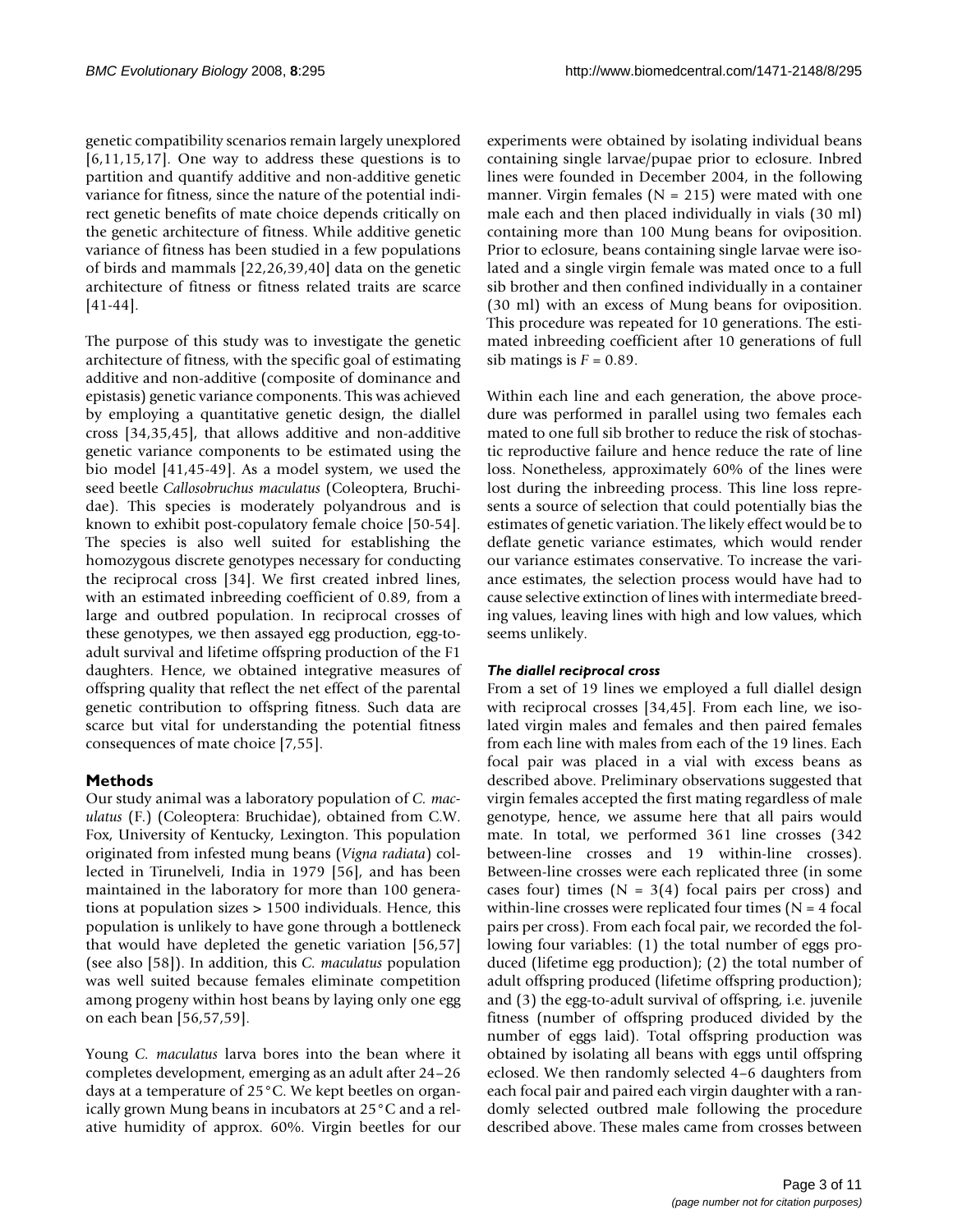genetic compatibility scenarios remain largely unexplored  $[6,11,15,17]$ . One way to address these questions is to partition and quantify additive and non-additive genetic variance for fitness, since the nature of the potential indirect genetic benefits of mate choice depends critically on the genetic architecture of fitness. While additive genetic variance of fitness has been studied in a few populations of birds and mammals [22,26,39,40] data on the genetic architecture of fitness or fitness related traits are scarce [41-44].

The purpose of this study was to investigate the genetic architecture of fitness, with the specific goal of estimating additive and non-additive (composite of dominance and epistasis) genetic variance components. This was achieved by employing a quantitative genetic design, the diallel cross [34,35,45], that allows additive and non-additive genetic variance components to be estimated using the bio model [41,45-49]. As a model system, we used the seed beetle *Callosobruchus maculatus* (Coleoptera, Bruchidae). This species is moderately polyandrous and is known to exhibit post-copulatory female choice [50-54]. The species is also well suited for establishing the homozygous discrete genotypes necessary for conducting the reciprocal cross [34]. We first created inbred lines, with an estimated inbreeding coefficient of 0.89, from a large and outbred population. In reciprocal crosses of these genotypes, we then assayed egg production, egg-toadult survival and lifetime offspring production of the F1 daughters. Hence, we obtained integrative measures of offspring quality that reflect the net effect of the parental genetic contribution to offspring fitness. Such data are scarce but vital for understanding the potential fitness consequences of mate choice [7,55].

# **Methods**

Our study animal was a laboratory population of *C. maculatus* (F.) (Coleoptera: Bruchidae), obtained from C.W. Fox, University of Kentucky, Lexington. This population originated from infested mung beans (*Vigna radiata*) collected in Tirunelveli, India in 1979 [56], and has been maintained in the laboratory for more than 100 generations at population sizes > 1500 individuals. Hence, this population is unlikely to have gone through a bottleneck that would have depleted the genetic variation [56,57] (see also [58]). In addition, this *C. maculatus* population was well suited because females eliminate competition among progeny within host beans by laying only one egg on each bean [56,57,59].

Young *C. maculatus* larva bores into the bean where it completes development, emerging as an adult after 24–26 days at a temperature of 25°C. We kept beetles on organically grown Mung beans in incubators at 25°C and a relative humidity of approx. 60%. Virgin beetles for our experiments were obtained by isolating individual beans containing single larvae/pupae prior to eclosure. Inbred lines were founded in December 2004, in the following manner. Virgin females ( $N = 215$ ) were mated with one male each and then placed individually in vials (30 ml) containing more than 100 Mung beans for oviposition. Prior to eclosure, beans containing single larvae were isolated and a single virgin female was mated once to a full sib brother and then confined individually in a container (30 ml) with an excess of Mung beans for oviposition. This procedure was repeated for 10 generations. The estimated inbreeding coefficient after 10 generations of full sib matings is  $F = 0.89$ .

Within each line and each generation, the above procedure was performed in parallel using two females each mated to one full sib brother to reduce the risk of stochastic reproductive failure and hence reduce the rate of line loss. Nonetheless, approximately 60% of the lines were lost during the inbreeding process. This line loss represents a source of selection that could potentially bias the estimates of genetic variation. The likely effect would be to deflate genetic variance estimates, which would render our variance estimates conservative. To increase the variance estimates, the selection process would have had to cause selective extinction of lines with intermediate breeding values, leaving lines with high and low values, which seems unlikely.

# *The diallel reciprocal cross*

From a set of 19 lines we employed a full diallel design with reciprocal crosses [34,45]. From each line, we isolated virgin males and females and then paired females from each line with males from each of the 19 lines. Each focal pair was placed in a vial with excess beans as described above. Preliminary observations suggested that virgin females accepted the first mating regardless of male genotype, hence, we assume here that all pairs would mate. In total, we performed 361 line crosses (342 between-line crosses and 19 within-line crosses). Between-line crosses were each replicated three (in some cases four) times ( $N = 3(4)$  focal pairs per cross) and within-line crosses were replicated four times  $(N = 4$  focal pairs per cross). From each focal pair, we recorded the following four variables: (1) the total number of eggs produced (lifetime egg production); (2) the total number of adult offspring produced (lifetime offspring production); and (3) the egg-to-adult survival of offspring, i.e. juvenile fitness (number of offspring produced divided by the number of eggs laid). Total offspring production was obtained by isolating all beans with eggs until offspring eclosed. We then randomly selected 4–6 daughters from each focal pair and paired each virgin daughter with a randomly selected outbred male following the procedure described above. These males came from crosses between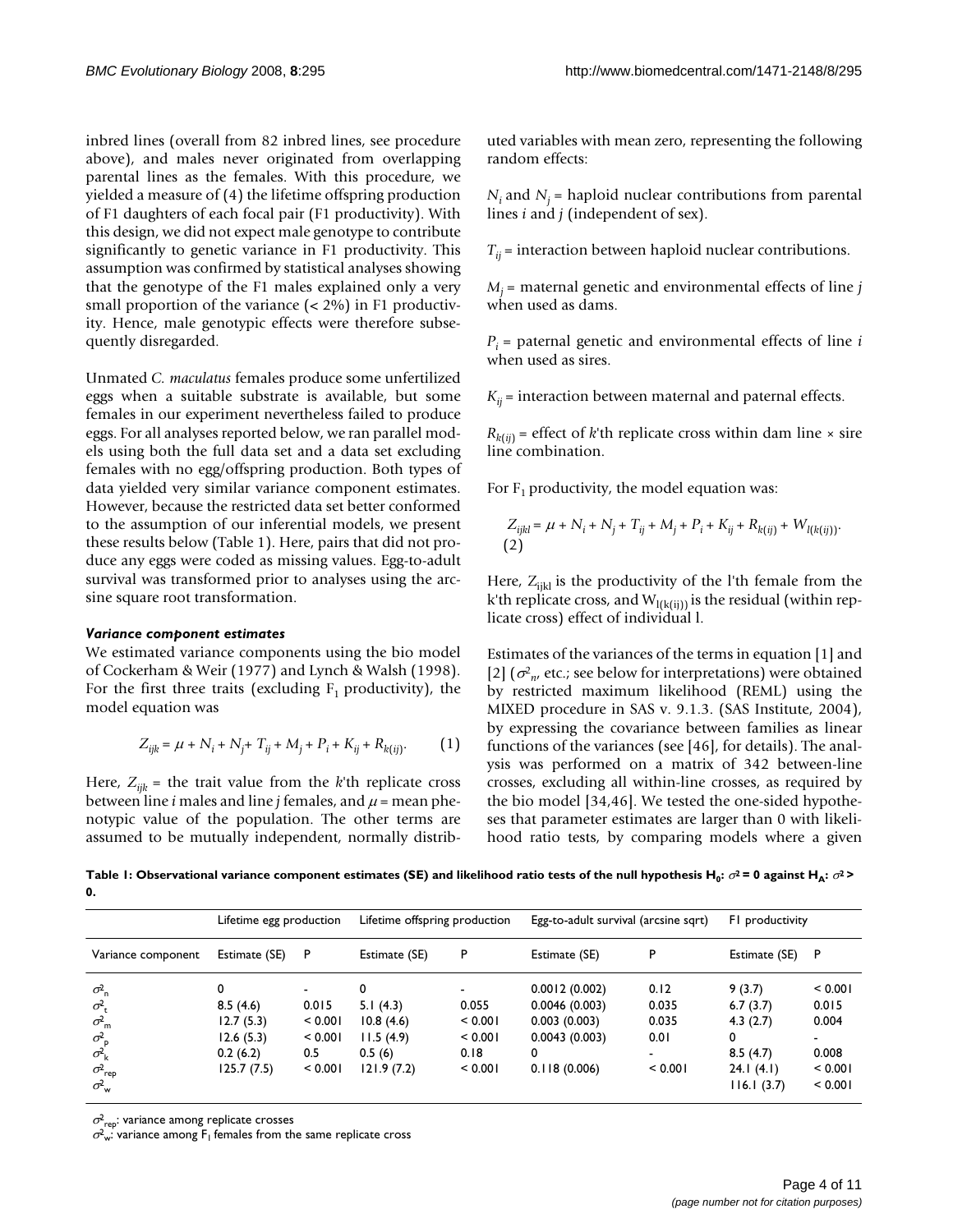inbred lines (overall from 82 inbred lines, see procedure above), and males never originated from overlapping parental lines as the females. With this procedure, we yielded a measure of (4) the lifetime offspring production of F1 daughters of each focal pair (F1 productivity). With this design, we did not expect male genotype to contribute significantly to genetic variance in F1 productivity. This assumption was confirmed by statistical analyses showing that the genotype of the F1 males explained only a very small proportion of the variance (< 2%) in F1 productivity. Hence, male genotypic effects were therefore subsequently disregarded.

Unmated *C. maculatus* females produce some unfertilized eggs when a suitable substrate is available, but some females in our experiment nevertheless failed to produce eggs. For all analyses reported below, we ran parallel models using both the full data set and a data set excluding females with no egg/offspring production. Both types of data yielded very similar variance component estimates. However, because the restricted data set better conformed to the assumption of our inferential models, we present these results below (Table 1). Here, pairs that did not produce any eggs were coded as missing values. Egg-to-adult survival was transformed prior to analyses using the arcsine square root transformation.

#### *Variance component estimates*

We estimated variance components using the bio model of Cockerham & Weir (1977) and Lynch & Walsh (1998). For the first three traits (excluding  $F_1$  productivity), the model equation was

$$
Z_{ijk} = \mu + N_i + N_j + T_{ij} + M_j + P_i + K_{ij} + R_{k(ij)}.
$$
 (1)

Here,  $Z_{ijk}$  = the trait value from the *k*<sup>th</sup> replicate cross between line *i* males and line *j* females, and  $\mu$  = mean phenotypic value of the population. The other terms are assumed to be mutually independent, normally distributed variables with mean zero, representing the following random effects:

 $N_i$  and  $N_i$  = haploid nuclear contributions from parental lines *i* and *j* (independent of sex).

 $T_{ii}$  = interaction between haploid nuclear contributions.

 $M_i$  = maternal genetic and environmental effects of line *j* when used as dams.

 $P_i$  = paternal genetic and environmental effects of line *i* when used as sires.

 $K_{ii}$  = interaction between maternal and paternal effects.

 $R_{k(ii)}$  = effect of *k*'th replicate cross within dam line  $\times$  sire line combination.

For  $F_1$  productivity, the model equation was:

$$
\begin{split} Z_{ijkl} &= \mu + N_i + N_j + T_{ij} + M_j + P_i + K_{ij} + R_{k(ij)} + W_{l(k(ij))}. \\ \text{(2)} \end{split}
$$

Here,  $Z_{ijkl}$  is the productivity of the l'th female from the k'th replicate cross, and  $W<sub>1(k(ii))</sub>$  is the residual (within replicate cross) effect of individual l.

Estimates of the variances of the terms in equation [1] and [2]  $(\sigma_{n}^2)$ , etc.; see below for interpretations) were obtained by restricted maximum likelihood (REML) using the MIXED procedure in SAS v. 9.1.3. (SAS Institute, 2004), by expressing the covariance between families as linear functions of the variances (see [46], for details). The analysis was performed on a matrix of 342 between-line crosses, excluding all within-line crosses, as required by the bio model [34,46]. We tested the one-sided hypotheses that parameter estimates are larger than 0 with likelihood ratio tests, by comparing models where a given

**Table 1: Observational variance component estimates (SE) and likelihood ratio tests of the null hypothesis H<sub>0</sub>:**  $\sigma^2$  **= 0 against H<sub>A</sub>:**  $\sigma^2$  **> 0.**

|                               | Lifetime egg production |         | Lifetime offspring production |         | Egg-to-adult survival (arcsine sqrt) |         | FI productivity |                          |
|-------------------------------|-------------------------|---------|-------------------------------|---------|--------------------------------------|---------|-----------------|--------------------------|
| Variance component            | Estimate (SE)           | P       | Estimate (SE)                 | P       | Estimate (SE)                        | P       | Estimate (SE)   | P                        |
| $\sigma_{\rm n}^2$            | 0                       |         | 0                             |         | 0.0012(0.002)                        | 0.12    | 9(3.7)          | < 0.001                  |
| $\sigma_{\rm t}^2$            | 8.5(4.6)                | 0.015   | 5.1(4.3)                      | 0.055   | 0.0046(0.003)                        | 0.035   | 6.7(3.7)        | 0.015                    |
| $\sigma_{\rm m}^2$            | 12.7(5.3)               | < 0.001 | 10.8(4.6)                     | < 0.001 | 0.003(0.003)                         | 0.035   | 4.3(2.7)        | 0.004                    |
| $\sigma_{\rm p}^2$            | 12.6(5.3)               | < 0.001 | 11.5(4.9)                     | < 0.001 | 0.0043(0.003)                        | 0.01    | 0               | $\overline{\phantom{0}}$ |
| $\sigma_{\rm k}^2$            | 0.2(6.2)                | 0.5     | 0.5(6)                        | 0.18    | 0                                    | ۰       | 8.5(4.7)        | 0.008                    |
| $\sigma_{\mathsf{rep}}^{\!2}$ | 125.7(7.5)              | < 0.001 | 121.9(7.2)                    | < 0.001 | 0.118(0.006)                         | < 0.001 | 24.1(4.1)       | < 0.001                  |
| $\sigma_{\rm w}^2$            |                         |         |                               |         |                                      |         | 116.1(3.7)      | < 0.001                  |

 $\sigma^2_{\rm rep}$ : variance among replicate crosses

 $\sigma^2$ <sub>w</sub>: variance among F<sub>1</sub> females from the same replicate cross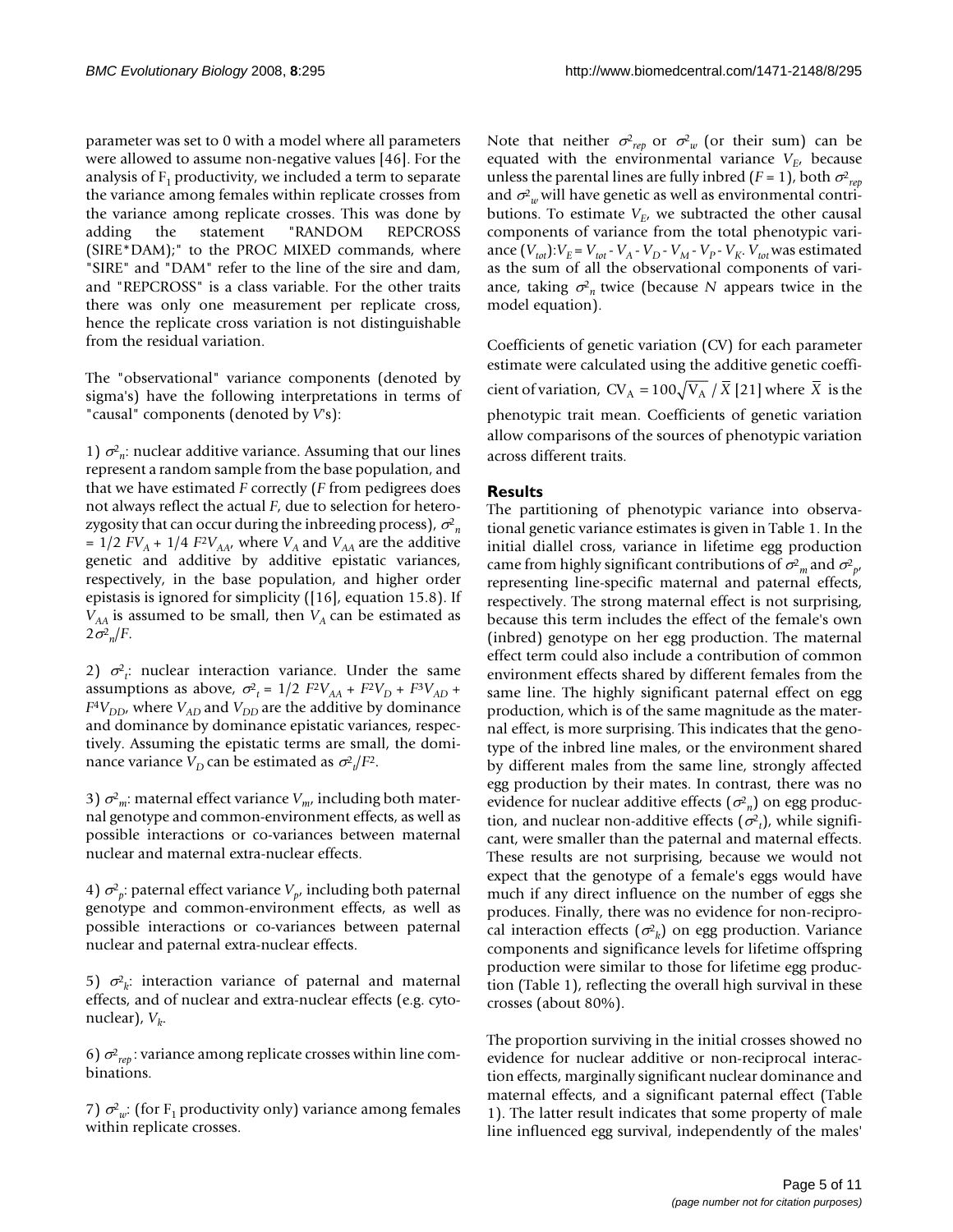parameter was set to 0 with a model where all parameters were allowed to assume non-negative values [46]. For the analysis of  $F_1$  productivity, we included a term to separate the variance among females within replicate crosses from the variance among replicate crosses. This was done by adding the statement "RANDOM REPCROSS (SIRE\*DAM);" to the PROC MIXED commands, where "SIRE" and "DAM" refer to the line of the sire and dam, and "REPCROSS" is a class variable. For the other traits there was only one measurement per replicate cross, hence the replicate cross variation is not distinguishable from the residual variation.

The "observational" variance components (denoted by sigma's) have the following interpretations in terms of "causal" components (denoted by *V*'s):

1)  $\sigma_{n}^{2}$ : nuclear additive variance. Assuming that our lines represent a random sample from the base population, and that we have estimated *F* correctly (*F* from pedigrees does not always reflect the actual *F*, due to selection for heterozygosity that can occur during the inbreeding process),  $\sigma_{n}^{\!2}$ =  $1/2$  *FV<sub>A</sub>* +  $1/4$  *F<sup>2</sup>V<sub>AA</sub>*, where *V<sub>A</sub>* and *V<sub>AA</sub>* are the additive genetic and additive by additive epistatic variances, respectively, in the base population, and higher order epistasis is ignored for simplicity ([16], equation 15.8). If  $V_{AA}$  is assumed to be small, then  $V_A$  can be estimated as  $2\sigma_{\eta}^2/F$ .

2)  $\sigma^2_i$ : nuclear interaction variance. Under the same assumptions as above,  $\sigma_{t}^{2} = 1/2$   $F^{2}V_{AA} + F^{2}V_{D} + F^{3}V_{AD} +$  $F^4V_{DD}$ , where  $V_{AD}$  and  $V_{DD}$  are the additive by dominance and dominance by dominance epistatic variances, respectively. Assuming the epistatic terms are small, the dominance variance  $V_D$  can be estimated as  $\sigma_t^2/F^2$ .

3)  $σ<sup>2</sup><sub>m</sub>$ : maternal effect variance *V*<sub>m</sub>, including both maternal genotype and common-environment effects, as well as possible interactions or co-variances between maternal nuclear and maternal extra-nuclear effects.

4)  $\sigma_p^2$ : paternal effect variance  $V_p$ , including both paternal genotype and common-environment effects, as well as possible interactions or co-variances between paternal nuclear and paternal extra-nuclear effects.

5)  $\sigma^2_k$ : interaction variance of paternal and maternal effects, and of nuclear and extra-nuclear effects (e.g. cytonuclear),  $V_k$ .

6)  $\sigma_{rep}^2$ : variance among replicate crosses within line combinations.

7)  $\sigma^2_w$ : (for F<sub>1</sub> productivity only) variance among females within replicate crosses.

Note that neither  $\sigma_{rep}^2$  or  $\sigma_{w}^2$  (or their sum) can be equated with the environmental variance  $V_{E}$ , because unless the parental lines are fully inbred (*F* = 1), both  $\sigma_{rep}^2$ and  $\sigma^2_{\;\;w}$  will have genetic as well as environmental contributions. To estimate  $V_{E}$ , we subtracted the other causal components of variance from the total phenotypic variance  $(V_{tot}): V_E = V_{tot} - V_A - V_D - V_M - V_P - V_K$ .  $V_{tot}$  was estimated as the sum of all the observational components of variance, taking  $\sigma_n^2$  twice (because *N* appears twice in the model equation).

Coefficients of genetic variation (CV) for each parameter estimate were calculated using the additive genetic coefficient of variation,  $CV_A = 100 \sqrt{V_A} / X$  [21] where *X* is the phenotypic trait mean. Coefficients of genetic variation allow comparisons of the sources of phenotypic variation across different traits.

# **Results**

The partitioning of phenotypic variance into observational genetic variance estimates is given in Table 1. In the initial diallel cross, variance in lifetime egg production came from highly significant contributions of  $\sigma_{m}^2$  and  $\sigma_{p'}^2$ representing line-specific maternal and paternal effects, respectively. The strong maternal effect is not surprising, because this term includes the effect of the female's own (inbred) genotype on her egg production. The maternal effect term could also include a contribution of common environment effects shared by different females from the same line. The highly significant paternal effect on egg production, which is of the same magnitude as the maternal effect, is more surprising. This indicates that the genotype of the inbred line males, or the environment shared by different males from the same line, strongly affected egg production by their mates. In contrast, there was no evidence for nuclear additive effects  $(\sigma_n^2)$  on egg production, and nuclear non-additive effects  $(\sigma_t^2)$ , while significant, were smaller than the paternal and maternal effects. These results are not surprising, because we would not expect that the genotype of a female's eggs would have much if any direct influence on the number of eggs she produces. Finally, there was no evidence for non-reciprocal interaction effects  $(\sigma^2_k)$  on egg production. Variance components and significance levels for lifetime offspring production were similar to those for lifetime egg production (Table 1), reflecting the overall high survival in these crosses (about 80%).

The proportion surviving in the initial crosses showed no evidence for nuclear additive or non-reciprocal interaction effects, marginally significant nuclear dominance and maternal effects, and a significant paternal effect (Table 1). The latter result indicates that some property of male line influenced egg survival, independently of the males'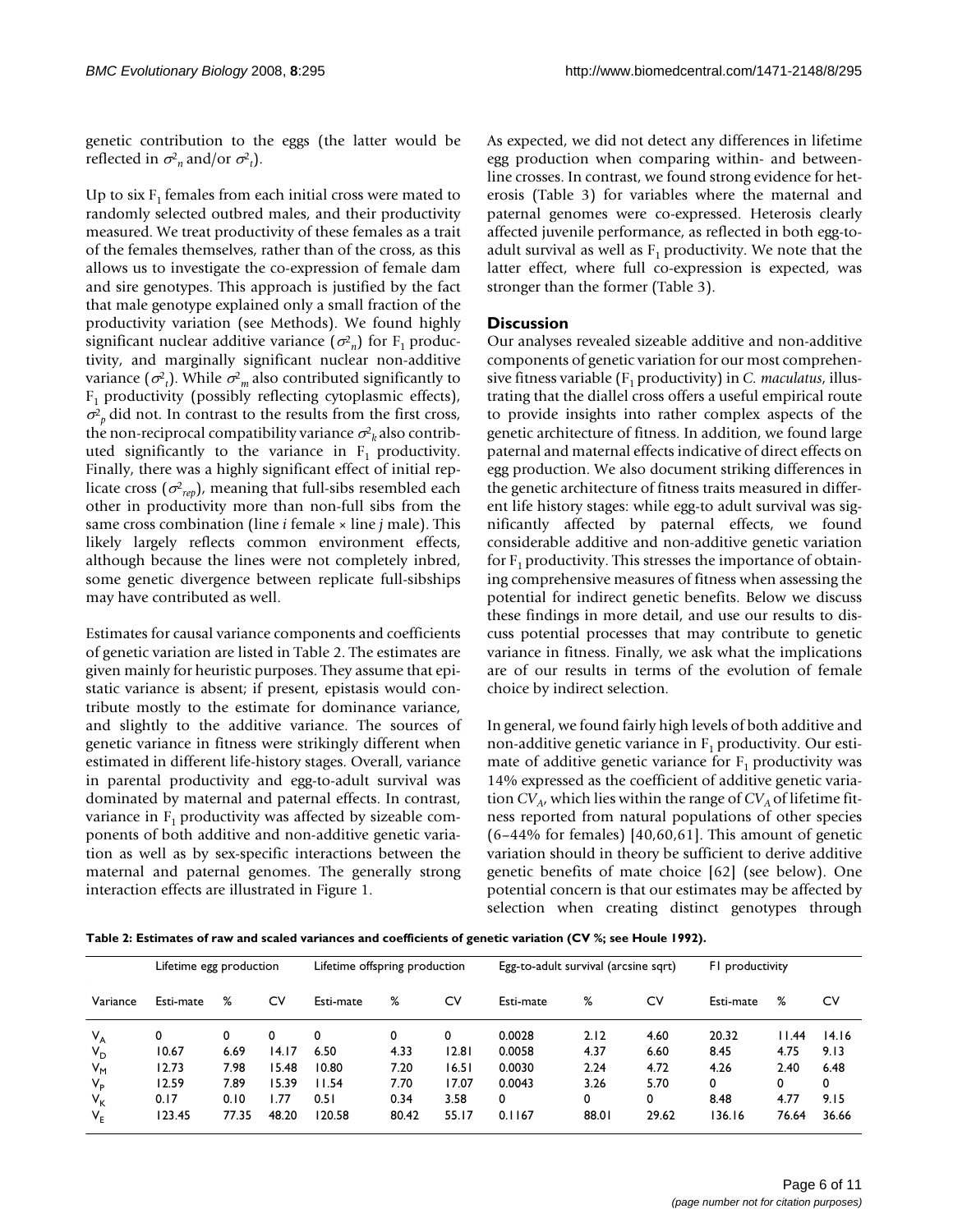genetic contribution to the eggs (the latter would be reflected in  $\sigma^2$ <sub>n</sub> and/or  $\sigma^2$ <sub>t</sub>).

Up to six  $F_1$  females from each initial cross were mated to randomly selected outbred males, and their productivity measured. We treat productivity of these females as a trait of the females themselves, rather than of the cross, as this allows us to investigate the co-expression of female dam and sire genotypes. This approach is justified by the fact that male genotype explained only a small fraction of the productivity variation (see Methods). We found highly significant nuclear additive variance  $(\sigma^2_n)$  for F<sub>1</sub> productivity, and marginally significant nuclear non-additive variance  $(\sigma^2_t)$ . While  $\sigma^2_m$  also contributed significantly to  $F_1$  productivity (possibly reflecting cytoplasmic effects),  $\sigma_p^2$  did not. In contrast to the results from the first cross, the non-reciprocal compatibility variance  $\sigma _{k}^{2}$  also contributed significantly to the variance in  $F_1$  productivity. Finally, there was a highly significant effect of initial replicate cross  $(\sigma_{rep}^2)$ , meaning that full-sibs resembled each other in productivity more than non-full sibs from the same cross combination (line *i* female × line *j* male). This likely largely reflects common environment effects, although because the lines were not completely inbred, some genetic divergence between replicate full-sibships may have contributed as well.

Estimates for causal variance components and coefficients of genetic variation are listed in Table 2. The estimates are given mainly for heuristic purposes. They assume that epistatic variance is absent; if present, epistasis would contribute mostly to the estimate for dominance variance, and slightly to the additive variance. The sources of genetic variance in fitness were strikingly different when estimated in different life-history stages. Overall, variance in parental productivity and egg-to-adult survival was dominated by maternal and paternal effects. In contrast, variance in  $F_1$  productivity was affected by sizeable components of both additive and non-additive genetic variation as well as by sex-specific interactions between the maternal and paternal genomes. The generally strong interaction effects are illustrated in Figure 1.

As expected, we did not detect any differences in lifetime egg production when comparing within- and betweenline crosses. In contrast, we found strong evidence for heterosis (Table 3) for variables where the maternal and paternal genomes were co-expressed. Heterosis clearly affected juvenile performance, as reflected in both egg-toadult survival as well as  $F_1$  productivity. We note that the latter effect, where full co-expression is expected, was stronger than the former (Table 3).

# **Discussion**

Our analyses revealed sizeable additive and non-additive components of genetic variation for our most comprehensive fitness variable (F<sub>1</sub> productivity) in *C. maculatus*, illustrating that the diallel cross offers a useful empirical route to provide insights into rather complex aspects of the genetic architecture of fitness. In addition, we found large paternal and maternal effects indicative of direct effects on egg production. We also document striking differences in the genetic architecture of fitness traits measured in different life history stages: while egg-to adult survival was significantly affected by paternal effects, we found considerable additive and non-additive genetic variation for  $F_1$  productivity. This stresses the importance of obtaining comprehensive measures of fitness when assessing the potential for indirect genetic benefits. Below we discuss these findings in more detail, and use our results to discuss potential processes that may contribute to genetic variance in fitness. Finally, we ask what the implications are of our results in terms of the evolution of female choice by indirect selection.

In general, we found fairly high levels of both additive and non-additive genetic variance in  $F_1$  productivity. Our estimate of additive genetic variance for  $F_1$  productivity was 14% expressed as the coefficient of additive genetic variation  $CV_{A}$ , which lies within the range of  $CV_{A}$  of lifetime fitness reported from natural populations of other species  $(6-44\%$  for females)  $[40,60,61]$ . This amount of genetic variation should in theory be sufficient to derive additive genetic benefits of mate choice [62] (see below). One potential concern is that our estimates may be affected by selection when creating distinct genotypes through

**Table 2: Estimates of raw and scaled variances and coefficients of genetic variation (CV %; see Houle 1992).**

|             | Lifetime egg production |       |       | Lifetime offspring production |       |       | Egg-to-adult survival (arcsine sqrt) |       |       | F1 productivity |       |       |
|-------------|-------------------------|-------|-------|-------------------------------|-------|-------|--------------------------------------|-------|-------|-----------------|-------|-------|
| Variance    | Esti-mate               | ℅     | C٧    | Esti-mate                     | %     | C٧    | Esti-mate                            | ℅     | C٧    | Esti-mate       | ℅     | CV    |
| $V_A$       |                         | 0     | 0     | 0                             | 0     | 0     | 0.0028                               | 2.12  | 4.60  | 20.32           | 11.44 | 14.16 |
| $V_D$       | 10.67                   | 6.69  | 14.17 | 6.50                          | 4.33  | 12.81 | 0.0058                               | 4.37  | 6.60  | 8.45            | 4.75  | 9.13  |
| $V_{M}$     | 12.73                   | 7.98  | 15.48 | 10.80                         | 7.20  | 16.51 | 0.0030                               | 2.24  | 4.72  | 4.26            | 2.40  | 6.48  |
| $V_{\rm p}$ | 12.59                   | 7.89  | 15.39 | 11.54                         | 7.70  | 17.07 | 0.0043                               | 3.26  | 5.70  | 0               | 0     | 0     |
| $V_{K}$     | 0.17                    | 0.10  | l.77  | 0.51                          | 0.34  | 3.58  | 0                                    | 0     | 0     | 8.48            | 4.77  | 9.15  |
| $V_{E}$     | 123.45                  | 77.35 | 48.20 | 120.58                        | 80.42 | 55.17 | 0.1167                               | 88.01 | 29.62 | 136.16          | 76.64 | 36.66 |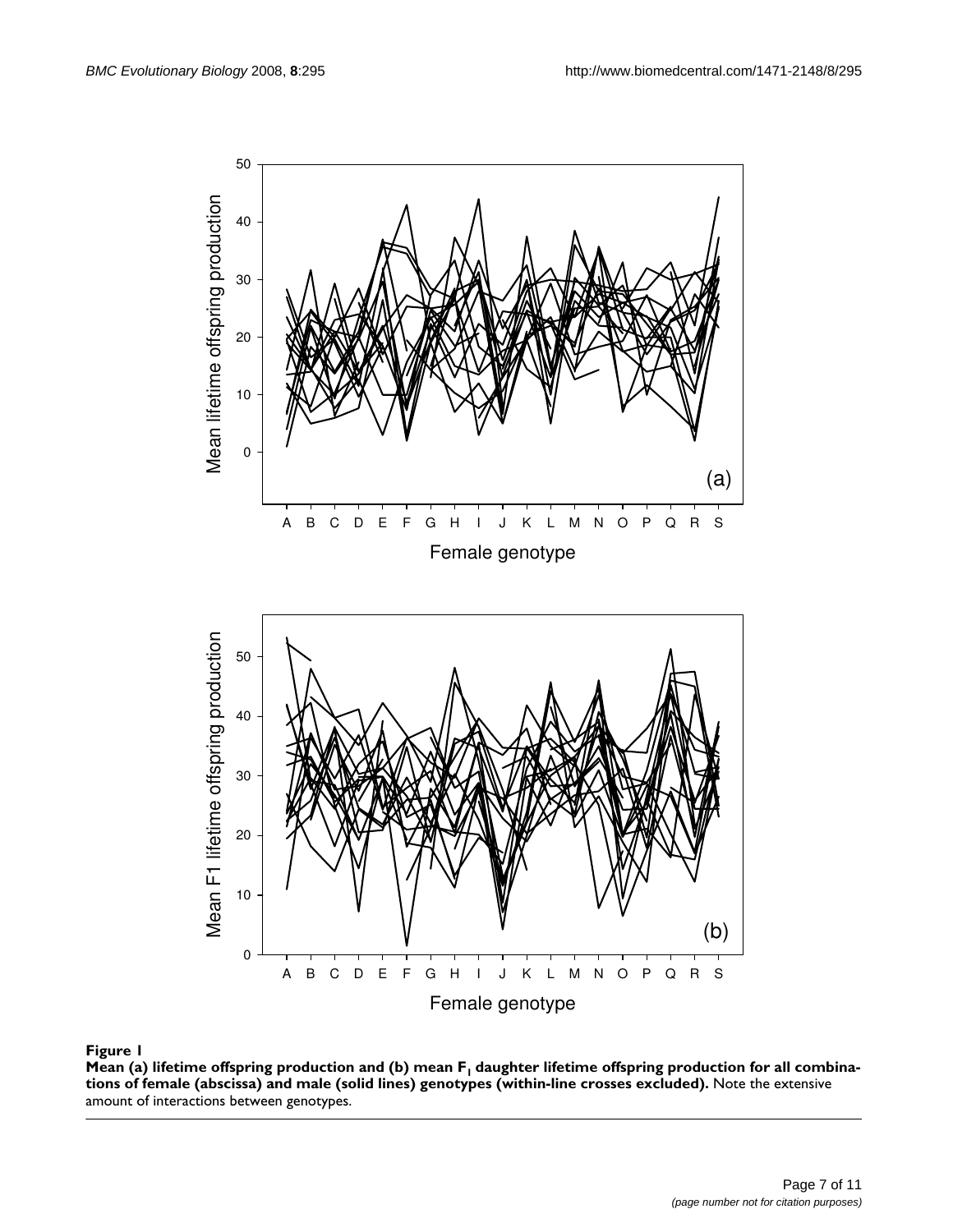

**Mean (a) lifetime offspring production and (b) mean F<sub>1</sub> daughter lifetime offspring production for all combinations of female (abscissa) and male (solid lines) genotypes (within-line crosses excluded).** Note the extensive amount of interactions between genotypes.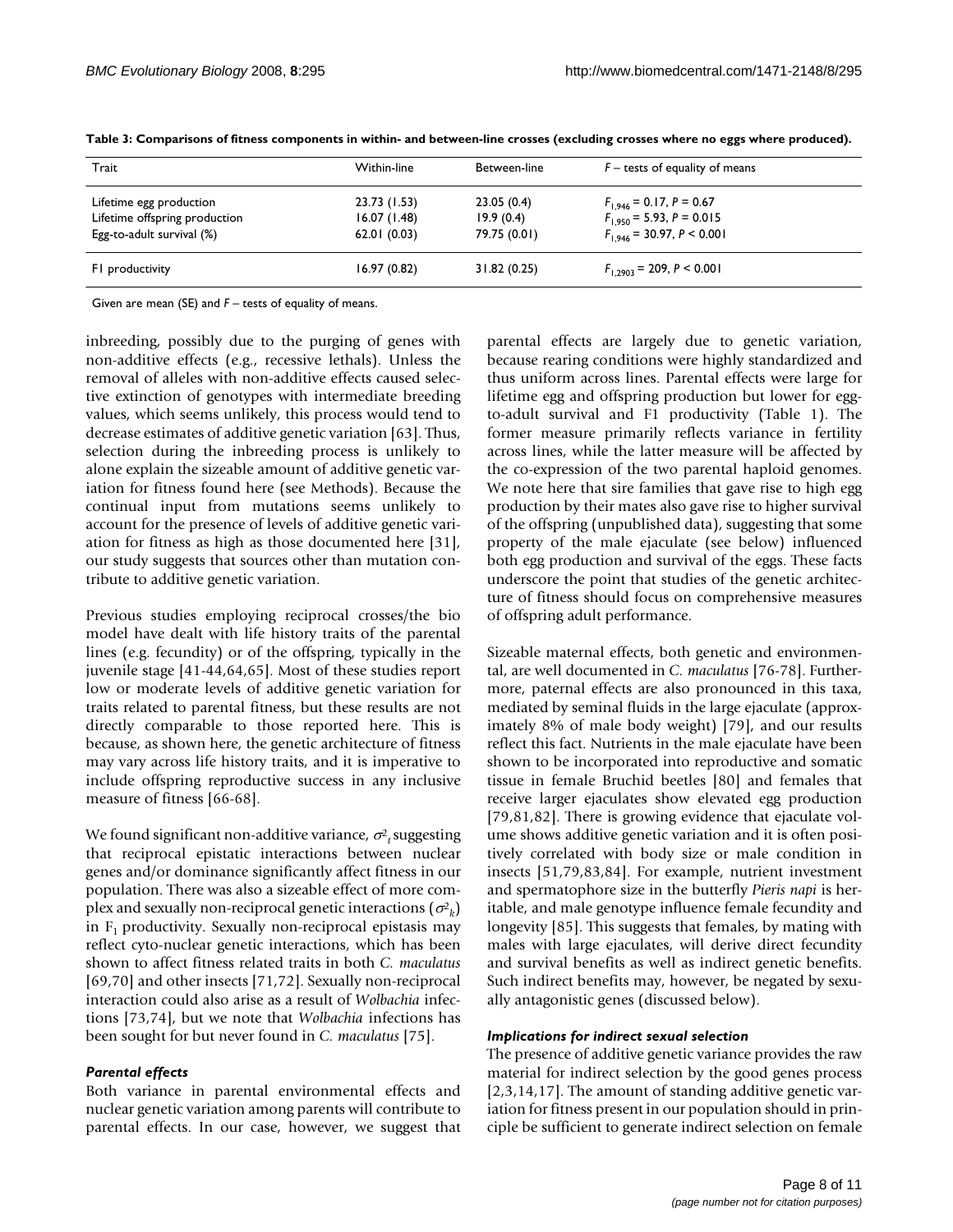| Trait                                                                                 | Within-line                                | Between-line                            | $F$ – tests of equality of means                                                                |
|---------------------------------------------------------------------------------------|--------------------------------------------|-----------------------------------------|-------------------------------------------------------------------------------------------------|
| Lifetime egg production<br>Lifetime offspring production<br>Egg-to-adult survival (%) | 23.73 (1.53)<br>16.07(1.48)<br>62.01(0.03) | 23.05(0.4)<br>19.9(0.4)<br>79.75 (0.01) | $F_{1,946}$ = 0.17, P = 0.67<br>$F_{1,950}$ = 5.93, P = 0.015<br>$F_{1.946}$ = 30.97, P < 0.001 |
| F1 productivity                                                                       | 16.97(0.82)                                | 31.82 (0.25)                            | $F_{1,2903}$ = 209, P < 0.001                                                                   |

**Table 3: Comparisons of fitness components in within- and between-line crosses (excluding crosses where no eggs where produced).**

Given are mean (SE) and *F* – tests of equality of means.

inbreeding, possibly due to the purging of genes with non-additive effects (e.g., recessive lethals). Unless the removal of alleles with non-additive effects caused selective extinction of genotypes with intermediate breeding values, which seems unlikely, this process would tend to decrease estimates of additive genetic variation [63]. Thus, selection during the inbreeding process is unlikely to alone explain the sizeable amount of additive genetic variation for fitness found here (see Methods). Because the continual input from mutations seems unlikely to account for the presence of levels of additive genetic variation for fitness as high as those documented here [31], our study suggests that sources other than mutation contribute to additive genetic variation.

Previous studies employing reciprocal crosses/the bio model have dealt with life history traits of the parental lines (e.g. fecundity) or of the offspring, typically in the juvenile stage [41-44,64,65]. Most of these studies report low or moderate levels of additive genetic variation for traits related to parental fitness, but these results are not directly comparable to those reported here. This is because, as shown here, the genetic architecture of fitness may vary across life history traits, and it is imperative to include offspring reproductive success in any inclusive measure of fitness [66-68].

We found significant non-additive variance,  $\sigma_{t}^{2}$  suggesting that reciprocal epistatic interactions between nuclear genes and/or dominance significantly affect fitness in our population. There was also a sizeable effect of more complex and sexually non-reciprocal genetic interactions  $(\sigma^{\!2}_k)$ in  $F_1$  productivity. Sexually non-reciprocal epistasis may reflect cyto-nuclear genetic interactions, which has been shown to affect fitness related traits in both *C. maculatus* [69,70] and other insects [71,72]. Sexually non-reciprocal interaction could also arise as a result of *Wolbachia* infections [73,74], but we note that *Wolbachia* infections has been sought for but never found in *C. maculatus* [75].

#### *Parental effects*

Both variance in parental environmental effects and nuclear genetic variation among parents will contribute to parental effects. In our case, however, we suggest that

parental effects are largely due to genetic variation, because rearing conditions were highly standardized and thus uniform across lines. Parental effects were large for lifetime egg and offspring production but lower for eggto-adult survival and F1 productivity (Table 1). The former measure primarily reflects variance in fertility across lines, while the latter measure will be affected by the co-expression of the two parental haploid genomes. We note here that sire families that gave rise to high egg production by their mates also gave rise to higher survival of the offspring (unpublished data), suggesting that some property of the male ejaculate (see below) influenced both egg production and survival of the eggs. These facts underscore the point that studies of the genetic architecture of fitness should focus on comprehensive measures of offspring adult performance.

Sizeable maternal effects, both genetic and environmental, are well documented in *C. maculatus* [76-78]. Furthermore, paternal effects are also pronounced in this taxa, mediated by seminal fluids in the large ejaculate (approximately 8% of male body weight) [79], and our results reflect this fact. Nutrients in the male ejaculate have been shown to be incorporated into reproductive and somatic tissue in female Bruchid beetles [80] and females that receive larger ejaculates show elevated egg production [79,81,82]. There is growing evidence that ejaculate volume shows additive genetic variation and it is often positively correlated with body size or male condition in insects [51,79,83,84]. For example, nutrient investment and spermatophore size in the butterfly *Pieris napi* is heritable, and male genotype influence female fecundity and longevity [85]. This suggests that females, by mating with males with large ejaculates, will derive direct fecundity and survival benefits as well as indirect genetic benefits. Such indirect benefits may, however, be negated by sexually antagonistic genes (discussed below).

#### *Implications for indirect sexual selection*

The presence of additive genetic variance provides the raw material for indirect selection by the good genes process [2,3,14,17]. The amount of standing additive genetic variation for fitness present in our population should in principle be sufficient to generate indirect selection on female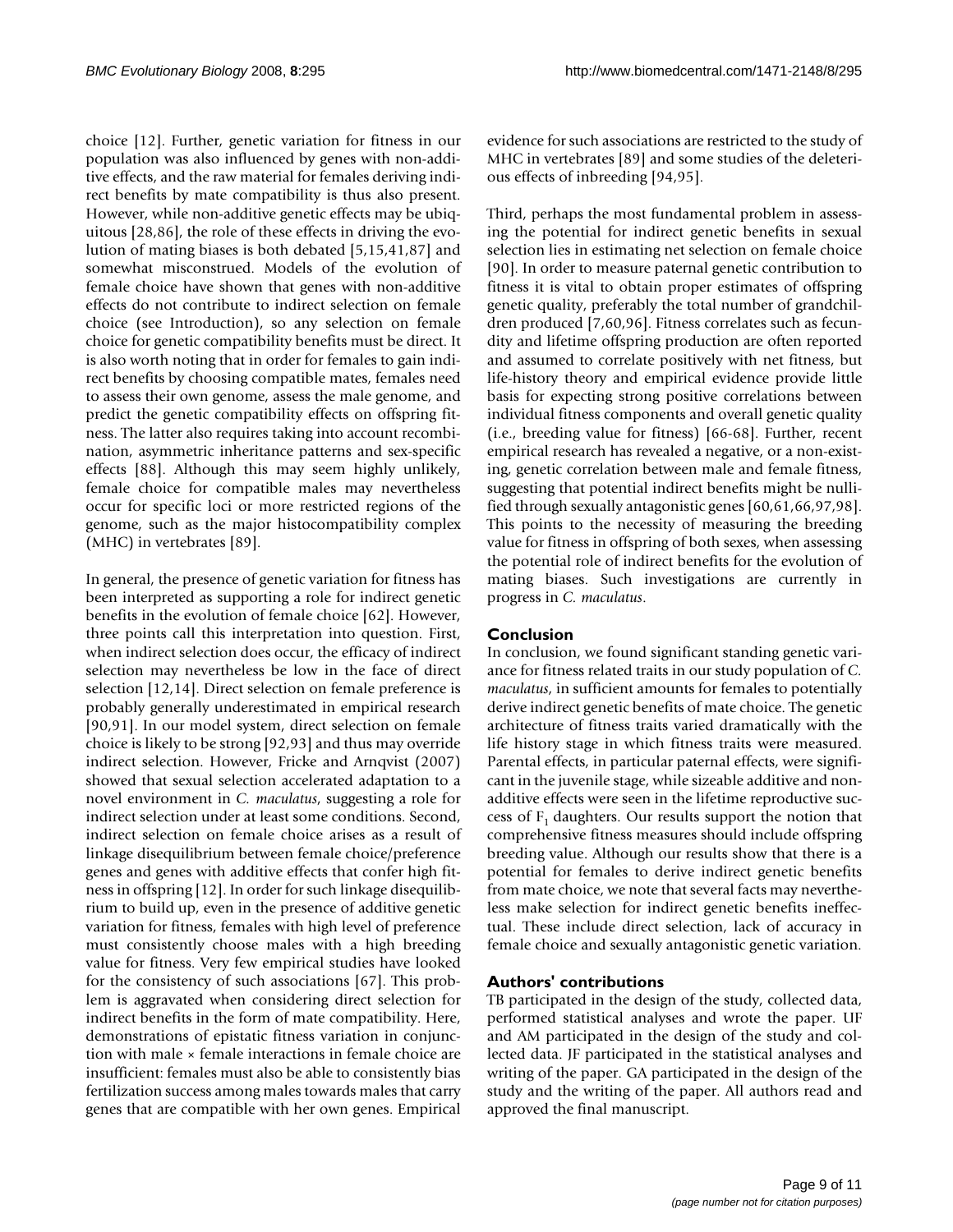choice [12]. Further, genetic variation for fitness in our population was also influenced by genes with non-additive effects, and the raw material for females deriving indirect benefits by mate compatibility is thus also present. However, while non-additive genetic effects may be ubiquitous [28,86], the role of these effects in driving the evolution of mating biases is both debated [5,15,41,87] and somewhat misconstrued. Models of the evolution of female choice have shown that genes with non-additive effects do not contribute to indirect selection on female choice (see Introduction), so any selection on female choice for genetic compatibility benefits must be direct. It is also worth noting that in order for females to gain indirect benefits by choosing compatible mates, females need to assess their own genome, assess the male genome, and predict the genetic compatibility effects on offspring fitness. The latter also requires taking into account recombination, asymmetric inheritance patterns and sex-specific effects [88]. Although this may seem highly unlikely, female choice for compatible males may nevertheless occur for specific loci or more restricted regions of the genome, such as the major histocompatibility complex (MHC) in vertebrates [89].

In general, the presence of genetic variation for fitness has been interpreted as supporting a role for indirect genetic benefits in the evolution of female choice [62]. However, three points call this interpretation into question. First, when indirect selection does occur, the efficacy of indirect selection may nevertheless be low in the face of direct selection [12,14]. Direct selection on female preference is probably generally underestimated in empirical research [90,91]. In our model system, direct selection on female choice is likely to be strong [92,93] and thus may override indirect selection. However, Fricke and Arnqvist (2007) showed that sexual selection accelerated adaptation to a novel environment in *C. maculatus*, suggesting a role for indirect selection under at least some conditions. Second, indirect selection on female choice arises as a result of linkage disequilibrium between female choice/preference genes and genes with additive effects that confer high fitness in offspring [12]. In order for such linkage disequilibrium to build up, even in the presence of additive genetic variation for fitness, females with high level of preference must consistently choose males with a high breeding value for fitness. Very few empirical studies have looked for the consistency of such associations [67]. This problem is aggravated when considering direct selection for indirect benefits in the form of mate compatibility. Here, demonstrations of epistatic fitness variation in conjunction with male × female interactions in female choice are insufficient: females must also be able to consistently bias fertilization success among males towards males that carry genes that are compatible with her own genes. Empirical evidence for such associations are restricted to the study of MHC in vertebrates [89] and some studies of the deleterious effects of inbreeding [94,95].

Third, perhaps the most fundamental problem in assessing the potential for indirect genetic benefits in sexual selection lies in estimating net selection on female choice [90]. In order to measure paternal genetic contribution to fitness it is vital to obtain proper estimates of offspring genetic quality, preferably the total number of grandchildren produced [7,60,96]. Fitness correlates such as fecundity and lifetime offspring production are often reported and assumed to correlate positively with net fitness, but life-history theory and empirical evidence provide little basis for expecting strong positive correlations between individual fitness components and overall genetic quality (i.e., breeding value for fitness) [66-68]. Further, recent empirical research has revealed a negative, or a non-existing, genetic correlation between male and female fitness, suggesting that potential indirect benefits might be nullified through sexually antagonistic genes [60,61,66,97,98]. This points to the necessity of measuring the breeding value for fitness in offspring of both sexes, when assessing the potential role of indirect benefits for the evolution of mating biases. Such investigations are currently in progress in *C. maculatus*.

# **Conclusion**

In conclusion, we found significant standing genetic variance for fitness related traits in our study population of *C. maculatus*, in sufficient amounts for females to potentially derive indirect genetic benefits of mate choice. The genetic architecture of fitness traits varied dramatically with the life history stage in which fitness traits were measured. Parental effects, in particular paternal effects, were significant in the juvenile stage, while sizeable additive and nonadditive effects were seen in the lifetime reproductive success of  $F_1$  daughters. Our results support the notion that comprehensive fitness measures should include offspring breeding value. Although our results show that there is a potential for females to derive indirect genetic benefits from mate choice, we note that several facts may nevertheless make selection for indirect genetic benefits ineffectual. These include direct selection, lack of accuracy in female choice and sexually antagonistic genetic variation.

# **Authors' contributions**

TB participated in the design of the study, collected data, performed statistical analyses and wrote the paper. UF and AM participated in the design of the study and collected data. JF participated in the statistical analyses and writing of the paper. GA participated in the design of the study and the writing of the paper. All authors read and approved the final manuscript.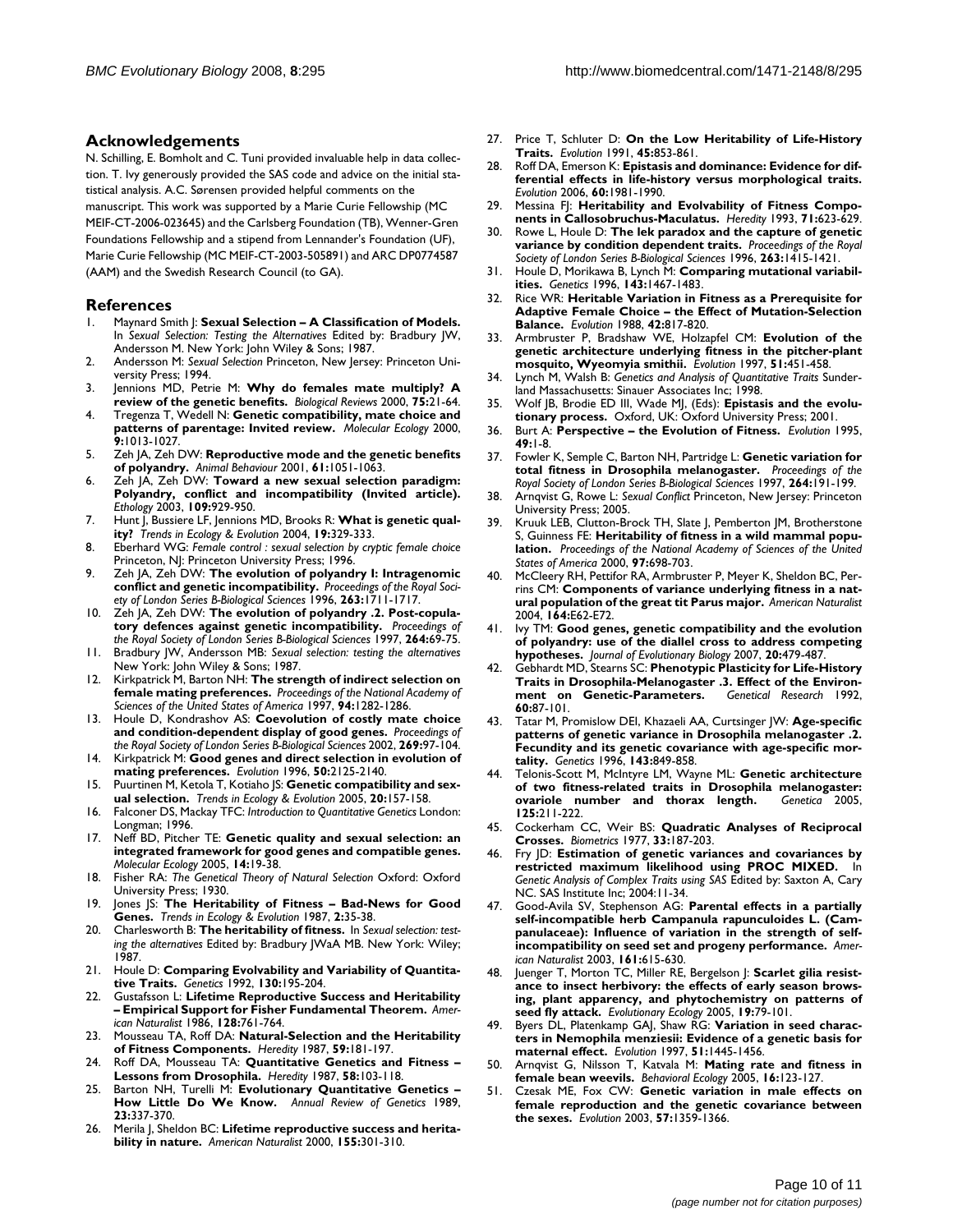#### **Acknowledgements**

N. Schilling, E. Bomholt and C. Tuni provided invaluable help in data collection. T. Ivy generously provided the SAS code and advice on the initial statistical analysis. A.C. Sørensen provided helpful comments on the manuscript. This work was supported by a Marie Curie Fellowship (MC

MEIF-CT-2006-023645) and the Carlsberg Foundation (TB), Wenner-Gren Foundations Fellowship and a stipend from Lennander's Foundation (UF), Marie Curie Fellowship (MC MEIF-CT-2003-505891) and ARC DP0774587 (AAM) and the Swedish Research Council (to GA).

#### **References**

- 1. Maynard Smith J: **Sexual Selection A Classification of Models.** In *Sexual Selection: Testing the Alternatives* Edited by: Bradbury JW, Andersson M. New York: John Wiley & Sons; 1987.
- 2. Andersson M: *Sexual Selection* Princeton, New Jersey: Princeton University Press; 1994.
- 3. Jennions MD, Petrie M: **[Why do females mate multiply? A](http://www.ncbi.nlm.nih.gov/entrez/query.fcgi?cmd=Retrieve&db=PubMed&dopt=Abstract&list_uids=10740892) [review of the genetic benefits.](http://www.ncbi.nlm.nih.gov/entrez/query.fcgi?cmd=Retrieve&db=PubMed&dopt=Abstract&list_uids=10740892)** *Biological Reviews* 2000, **75:**21-64.
- 4. Tregenza T, Wedell N: **[Genetic compatibility, mate choice and](http://www.ncbi.nlm.nih.gov/entrez/query.fcgi?cmd=Retrieve&db=PubMed&dopt=Abstract&list_uids=10964221) [patterns of parentage: Invited review.](http://www.ncbi.nlm.nih.gov/entrez/query.fcgi?cmd=Retrieve&db=PubMed&dopt=Abstract&list_uids=10964221)** *Molecular Ecology* 2000, **9:**1013-1027.
- 5. Zeh JA, Zeh DW: **Reproductive mode and the genetic benefits of polyandry.** *Animal Behaviour* 2001, **61:**1051-1063.
- 6. Zeh JA, Zeh DW: **Toward a new sexual selection paradigm: Polyandry, conflict and incompatibility (Invited article).** *Ethology* 2003, **109:**929-950.
- 7. Hunt J, Bussiere LF, Jennions MD, Brooks R: **What is genetic quality?** *Trends in Ecology & Evolution* 2004, **19:**329-333.
- 8. Eberhard WG: *Female control : sexual selection by cryptic female choice* Princeton, NJ: Princeton University Press; 1996.
- 9. Zeh JA, Zeh DW: **The evolution of polyandry I: Intragenomic conflict and genetic incompatibility.** *Proceedings of the Royal Society of London Series B-Biological Sciences* 1996, **263:**1711-1717.
- 10. Zeh JA, Zeh DW: **The evolution of polyandry .2. Post-copulatory defences against genetic incompatibility.** *Proceedings of the Royal Society of London Series B-Biological Sciences* 1997, **264:**69-75.
- 11. Bradbury JW, Andersson MB: *Sexual selection: testing the alternatives* New York: John Wiley & Sons; 1987.
- 12. Kirkpatrick M, Barton NH: **[The strength of indirect selection on](http://www.ncbi.nlm.nih.gov/entrez/query.fcgi?cmd=Retrieve&db=PubMed&dopt=Abstract&list_uids=9037044) [female mating preferences.](http://www.ncbi.nlm.nih.gov/entrez/query.fcgi?cmd=Retrieve&db=PubMed&dopt=Abstract&list_uids=9037044)** *Proceedings of the National Academy of Sciences of the United States of America* 1997, **94:**1282-1286.
- 13. Houle D, Kondrashov AS: **Coevolution of costly mate choice and condition-dependent display of good genes.** *Proceedings of the Royal Society of London Series B-Biological Sciences* 2002, **269:**97-104.
- 14. Kirkpatrick M: **Good genes and direct selection in evolution of mating preferences.** *Evolution* 1996, **50:**2125-2140.
- 15. Puurtinen M, Ketola T, Kotiaho JS: **Genetic compatibility and sexual selection.** *Trends in Ecology & Evolution* 2005, **20:**157-158.
- 16. Falconer DS, Mackay TFC: *Introduction to Quantitative Genetics* London: Longman; 1996.
- 17. Neff BD, Pitcher TE: **[Genetic quality and sexual selection: an](http://www.ncbi.nlm.nih.gov/entrez/query.fcgi?cmd=Retrieve&db=PubMed&dopt=Abstract&list_uids=15643948) [integrated framework for good genes and compatible genes.](http://www.ncbi.nlm.nih.gov/entrez/query.fcgi?cmd=Retrieve&db=PubMed&dopt=Abstract&list_uids=15643948)** *Molecular Ecology* 2005, **14:**19-38.
- 18. Fisher RA: *The Genetical Theory of Natural Selection* Oxford: Oxford University Press; 1930.
- 19. Jones JS: **The Heritability of Fitness Bad-News for Good Genes.** *Trends in Ecology & Evolution* 1987, **2:**35-38.
- 20. Charlesworth B: **The heritability of fitness.** In *Sexual selection: testing the alternatives* Edited by: Bradbury JWaA MB. New York: Wiley; 1987.
- 21. Houle D: **[Comparing Evolvability and Variability of Quantita](http://www.ncbi.nlm.nih.gov/entrez/query.fcgi?cmd=Retrieve&db=PubMed&dopt=Abstract&list_uids=1732160)[tive Traits.](http://www.ncbi.nlm.nih.gov/entrez/query.fcgi?cmd=Retrieve&db=PubMed&dopt=Abstract&list_uids=1732160)** *Genetics* 1992, **130:**195-204.
- 22. Gustafsson L: **Lifetime Reproductive Success and Heritability – Empirical Support for Fisher Fundamental Theorem.** *American Naturalist* 1986, **128:**761-764.
- 23. Mousseau TA, Roff DA: **[Natural-Selection and the Heritability](http://www.ncbi.nlm.nih.gov/entrez/query.fcgi?cmd=Retrieve&db=PubMed&dopt=Abstract&list_uids=3316130) [of Fitness Components.](http://www.ncbi.nlm.nih.gov/entrez/query.fcgi?cmd=Retrieve&db=PubMed&dopt=Abstract&list_uids=3316130)** *Heredity* 1987, **59:**181-197.
- 24. Roff DA, Mousseau TA: **[Quantitative Genetics and Fitness –](http://www.ncbi.nlm.nih.gov/entrez/query.fcgi?cmd=Retrieve&db=PubMed&dopt=Abstract&list_uids=3818341) [Lessons from Drosophila.](http://www.ncbi.nlm.nih.gov/entrez/query.fcgi?cmd=Retrieve&db=PubMed&dopt=Abstract&list_uids=3818341)** *Heredity* 1987, **58:**103-118.
- 25. Barton NH, Turelli M: **[Evolutionary Quantitative Genetics –](http://www.ncbi.nlm.nih.gov/entrez/query.fcgi?cmd=Retrieve&db=PubMed&dopt=Abstract&list_uids=2694935) [How Little Do We Know.](http://www.ncbi.nlm.nih.gov/entrez/query.fcgi?cmd=Retrieve&db=PubMed&dopt=Abstract&list_uids=2694935)** *Annual Review of Genetics* 1989, **23:**337-370.
- 26. Merila J, Sheldon BC: **[Lifetime reproductive success and herita](http://www.ncbi.nlm.nih.gov/entrez/query.fcgi?cmd=Retrieve&db=PubMed&dopt=Abstract&list_uids=10718727)[bility in nature.](http://www.ncbi.nlm.nih.gov/entrez/query.fcgi?cmd=Retrieve&db=PubMed&dopt=Abstract&list_uids=10718727)** *American Naturalist* 2000, **155:**301-310.
- 27. Price T, Schluter D: **On the Low Heritability of Life-History Traits.** *Evolution* 1991, **45:**853-861.
- 28. Roff DA, Emerson K: **[Epistasis and dominance: Evidence for dif](http://www.ncbi.nlm.nih.gov/entrez/query.fcgi?cmd=Retrieve&db=PubMed&dopt=Abstract&list_uids=17133855)[ferential effects in life-history versus morphological traits.](http://www.ncbi.nlm.nih.gov/entrez/query.fcgi?cmd=Retrieve&db=PubMed&dopt=Abstract&list_uids=17133855)** *Evolution* 2006, **60:**1981-1990.
- 29. Messina FJ: **Heritability and Evolvability of Fitness Components in Callosobruchus-Maculatus.** *Heredity* 1993, **71:**623-629.
- Rowe L, Houle D: The lek paradox and the capture of genetic **variance by condition dependent traits.** *Proceedings of the Royal Society of London Series B-Biological Sciences* 1996, **263:**1415-1421.
- 31. Houle D, Morikawa B, Lynch M: **[Comparing mutational variabil](http://www.ncbi.nlm.nih.gov/entrez/query.fcgi?cmd=Retrieve&db=PubMed&dopt=Abstract&list_uids=8807316)[ities.](http://www.ncbi.nlm.nih.gov/entrez/query.fcgi?cmd=Retrieve&db=PubMed&dopt=Abstract&list_uids=8807316)** *Genetics* 1996, **143:**1467-1483.
- 32. Rice WR: **Heritable Variation in Fitness as a Prerequisite for Adaptive Female Choice – the Effect of Mutation-Selection Balance.** *Evolution* 1988, **42:**817-820.
- 33. Armbruster P, Bradshaw WE, Holzapfel CM: **Evolution of the genetic architecture underlying fitness in the pitcher-plant mosquito, Wyeomyia smithii.** *Evolution* 1997, **51:**451-458.
- 34. Lynch M, Walsh B: *Genetics and Analysis of Quantitative Traits* Sunderland Massachusetts: Sinauer Associates Inc; 1998.
- 35. Wolf JB, Brodie ED III, Wade MJ, (Eds): **Epistasis and the evolutionary process.** Oxford, UK: Oxford University Press; 2001.
- 36. Burt A: **Perspective the Evolution of Fitness.** *Evolution* 1995, **49:**1-8.
- 37. Fowler K, Semple C, Barton NH, Partridge L: **Genetic variation for total fitness in Drosophila melanogaster.** *Proceedings of the Royal Society of London Series B-Biological Sciences* 1997, **264:**191-199.
- 38. Arnqvist G, Rowe L: *Sexual Conflict* Princeton, New Jersey: Princeton University Press; 2005.
- 39. Kruuk LEB, Clutton-Brock TH, Slate J, Pemberton JM, Brotherstone S, Guinness FE: **[Heritability of fitness in a wild mammal popu](http://www.ncbi.nlm.nih.gov/entrez/query.fcgi?cmd=Retrieve&db=PubMed&dopt=Abstract&list_uids=10639142)[lation.](http://www.ncbi.nlm.nih.gov/entrez/query.fcgi?cmd=Retrieve&db=PubMed&dopt=Abstract&list_uids=10639142)** *Proceedings of the National Academy of Sciences of the United States of America* 2000, **97:**698-703.
- 40. McCleery RH, Pettifor RA, Armbruster P, Meyer K, Sheldon BC, Perrins CM: **[Components of variance underlying fitness in a nat](http://www.ncbi.nlm.nih.gov/entrez/query.fcgi?cmd=Retrieve&db=PubMed&dopt=Abstract&list_uids=15478083)[ural population of the great tit Parus major.](http://www.ncbi.nlm.nih.gov/entrez/query.fcgi?cmd=Retrieve&db=PubMed&dopt=Abstract&list_uids=15478083)** *American Naturalist* 2004, **164:**E62-E72.
- 41. Ivy TM: **[Good genes, genetic compatibility and the evolution](http://www.ncbi.nlm.nih.gov/entrez/query.fcgi?cmd=Retrieve&db=PubMed&dopt=Abstract&list_uids=17305813) [of polyandry: use of the diallel cross to address competing](http://www.ncbi.nlm.nih.gov/entrez/query.fcgi?cmd=Retrieve&db=PubMed&dopt=Abstract&list_uids=17305813) [hypotheses.](http://www.ncbi.nlm.nih.gov/entrez/query.fcgi?cmd=Retrieve&db=PubMed&dopt=Abstract&list_uids=17305813)** *Journal of Evolutionary Biology* 2007, **20:**479-487.
- 42. Gebhardt MD, Stearns SC: **[Phenotypic Plasticity for Life-History](http://www.ncbi.nlm.nih.gov/entrez/query.fcgi?cmd=Retrieve&db=PubMed&dopt=Abstract&list_uids=1468647) [Traits in Drosophila-Melanogaster .3. Effect of the Environ](http://www.ncbi.nlm.nih.gov/entrez/query.fcgi?cmd=Retrieve&db=PubMed&dopt=Abstract&list_uids=1468647)[ment on Genetic-Parameters.](http://www.ncbi.nlm.nih.gov/entrez/query.fcgi?cmd=Retrieve&db=PubMed&dopt=Abstract&list_uids=1468647)** *Genetical Research* 1992, **60:**87-101.
- 43. Tatar M, Promislow DEI, Khazaeli AA, Curtsinger JW: **[Age-specific](http://www.ncbi.nlm.nih.gov/entrez/query.fcgi?cmd=Retrieve&db=PubMed&dopt=Abstract&list_uids=8725233) [patterns of genetic variance in Drosophila melanogaster .2.](http://www.ncbi.nlm.nih.gov/entrez/query.fcgi?cmd=Retrieve&db=PubMed&dopt=Abstract&list_uids=8725233) Fecundity and its genetic covariance with age-specific mor[tality.](http://www.ncbi.nlm.nih.gov/entrez/query.fcgi?cmd=Retrieve&db=PubMed&dopt=Abstract&list_uids=8725233)** *Genetics* 1996, **143:**849-858.
- 44. Telonis-Scott M, McIntyre LM, Wayne ML: **[Genetic architecture](http://www.ncbi.nlm.nih.gov/entrez/query.fcgi?cmd=Retrieve&db=PubMed&dopt=Abstract&list_uids=16247693) [of two fitness-related traits in Drosophila melanogaster:](http://www.ncbi.nlm.nih.gov/entrez/query.fcgi?cmd=Retrieve&db=PubMed&dopt=Abstract&list_uids=16247693) [ovariole number and thorax length.](http://www.ncbi.nlm.nih.gov/entrez/query.fcgi?cmd=Retrieve&db=PubMed&dopt=Abstract&list_uids=16247693)** *Genetica* 2005, **125:**211-222.
- 45. Cockerham CC, Weir BS: **[Quadratic Analyses of Reciprocal](http://www.ncbi.nlm.nih.gov/entrez/query.fcgi?cmd=Retrieve&db=PubMed&dopt=Abstract&list_uids=843573) [Crosses.](http://www.ncbi.nlm.nih.gov/entrez/query.fcgi?cmd=Retrieve&db=PubMed&dopt=Abstract&list_uids=843573)** *Biometrics* 1977, **33:**187-203.
- 46. Fry JD: **Estimation of genetic variances and covariances by restricted maximum likelihood using PROC MIXED.** In *Genetic Analysis of Complex Traits using SAS* Edited by: Saxton A, Cary NC. SAS Institute Inc; 2004:11-34.
- 47. Good-Avila SV, Stephenson AG: **[Parental effects in a partially](http://www.ncbi.nlm.nih.gov/entrez/query.fcgi?cmd=Retrieve&db=PubMed&dopt=Abstract&list_uids=12776888) [self-incompatible herb Campanula rapunculoides L. \(Cam](http://www.ncbi.nlm.nih.gov/entrez/query.fcgi?cmd=Retrieve&db=PubMed&dopt=Abstract&list_uids=12776888)panulaceae): Influence of variation in the strength of self[incompatibility on seed set and progeny performance.](http://www.ncbi.nlm.nih.gov/entrez/query.fcgi?cmd=Retrieve&db=PubMed&dopt=Abstract&list_uids=12776888)** *American Naturalist* 2003, **161:**615-630.
- 48. Juenger T, Morton TC, Miller RE, Bergelson J: **Scarlet gilia resistance to insect herbivory: the effects of early season browsing, plant apparency, and phytochemistry on patterns of seed fly attack.** *Evolutionary Ecology* 2005, **19:**79-101.
- Byers DL, Platenkamp GAJ, Shaw RG: Variation in seed charac**ters in Nemophila menziesii: Evidence of a genetic basis for maternal effect.** *Evolution* 1997, **51:**1445-1456.
- 50. Arnqvist G, Nilsson T, Katvala M: **Mating rate and fitness in female bean weevils.** *Behavioral Ecology* 2005, **16:**123-127.
- 51. Czesak ME, Fox CW: **[Genetic variation in male effects on](http://www.ncbi.nlm.nih.gov/entrez/query.fcgi?cmd=Retrieve&db=PubMed&dopt=Abstract&list_uids=12894943) [female reproduction and the genetic covariance between](http://www.ncbi.nlm.nih.gov/entrez/query.fcgi?cmd=Retrieve&db=PubMed&dopt=Abstract&list_uids=12894943) [the sexes.](http://www.ncbi.nlm.nih.gov/entrez/query.fcgi?cmd=Retrieve&db=PubMed&dopt=Abstract&list_uids=12894943)** *Evolution* 2003, **57:**1359-1366.